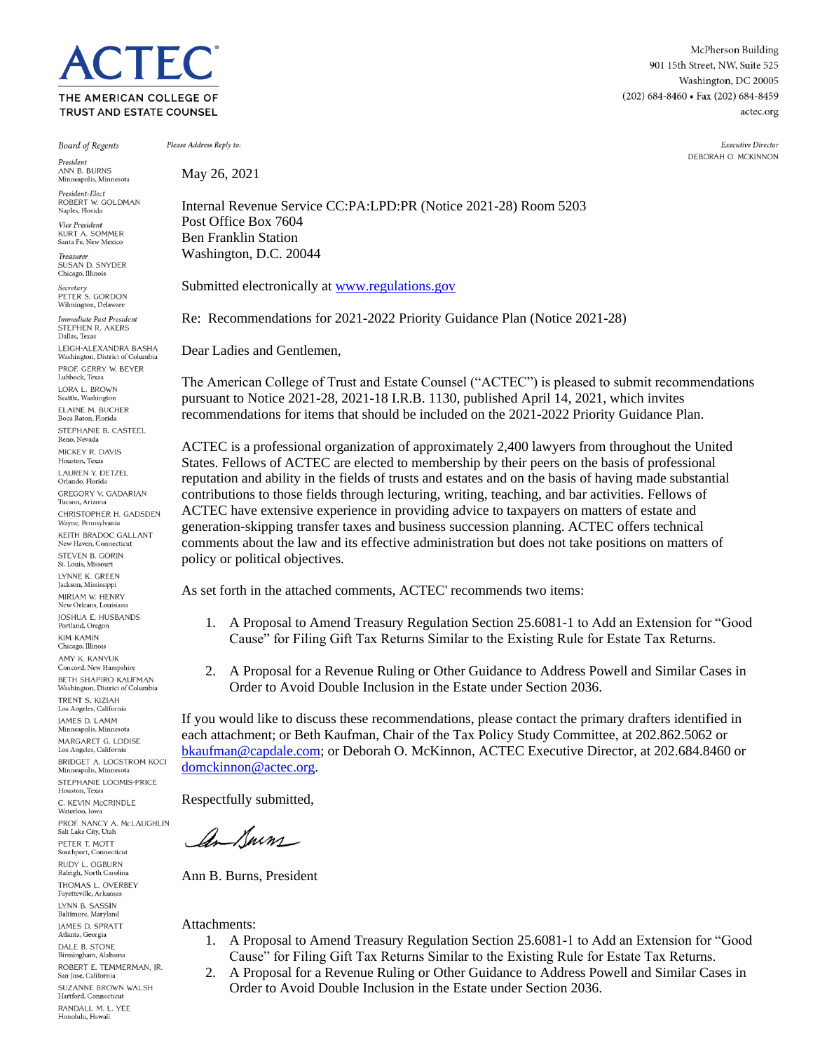# **TEC** THE AMERICAN COLLEGE OF TRUST AND ESTATE COUNSEL

McPherson Building 901 15th Street, NW, Suite 525 Washington, DC 20005 (202) 684-8460 · Fax (202) 684-8459 actec.org

> Executive Director DEBORAH O. MCKINNON

**Board of Regents** 

President ANN R. BURNS Minneapolis, Minn President-Elect

ROBERT W. GOLDMAN Naples, Florida

Vice President KURT A. SOMMER Santa Fe, New Mexico

Treasurer SUSAN D. SNYDER Chicago, Illinois

Secretary<br>PETER S. GORDON Wilmington, Delaware

Immediate Past President STEPHEN R. AKERS Dallas, Texas LEIGH-ALEXANDRA BASHA Washington, District of Columbia PROF. GERRY W. BEYER Lubbock, Texas LORA L. BROWN Seattle, Washington ELAINE M. BUCHER Boca Raton, Florida STEPHANIE B. CASTEEL Reno, Nevada MICKEY R. DAVIS Houston, Texas LAUREN Y. DETZEL Orlando, Florida **GREGORY V. GADARIAN** Tucson, Arizona CHRISTOPHER H. GADSDEN Wayne, Pennsylvania KEITH BRADOC GALLANT New Haven, Connecticut STEVEN B. GORIN St. Louis, Missour LYNNE K. GREEN Jackson, Mississippi MIRIAM W. HENRY New Orleans, Louisiana JOSHUA E. HUSBANDS Portland, Oregon **KIM KAMIN** Chicago, Illinois AMY K. KANYUK Concord, New Hampshire **BETH SHAPIRO KAUFMAN** Washington, District of Columbia TRENT S. KIZIAH Los Angeles, California **IAMES D. LAMM** .<br>Minneapolis, Minnesota MARGARET G. LODISE Los Angeles, California BRIDGET A. LOGSTROM KOCI Minneapolis, Min STEPHANIE LOOMIS-PRICE Houston, Texas C. KEVIN McCRINDLE Waterloo, Iowa PROF. NANCY A. McLAUGHLIN Salt Lake City, Utah PETER T. MOTT Southport, Connecticut RUDY L. OGBURN Raleigh, North Carolina THOMAS L. OVERBEY Fayetteville, Arkansas LYNN B. SASSIN Baltimore, Maryland **IAMES D. SPRATT** Atlanta, Georgia DALE B. STONE Birmingham, Alabama ROBERT E. TEMMERMAN, JR. San Jose, California SUZANNE BROWN WALSH Hartford, Connecticut

RANDALL M. L. YEE Honolulu, Hawaii

May 26, 2021

Please Address Reply to:

Internal Revenue Service CC:PA:LPD:PR (Notice 2021-28) Room 5203 Post Office Box 7604 Ben Franklin Station Washington, D.C. 20044

Submitted electronically a[t www.regulations.gov](http://www.regulations.gov/)

Re: Recommendations for 2021-2022 Priority Guidance Plan (Notice 2021-28)

Dear Ladies and Gentlemen,

The American College of Trust and Estate Counsel ("ACTEC") is pleased to submit recommendations pursuant to Notice 2021-28, 2021-18 I.R.B. 1130, published April 14, 2021, which invites recommendations for items that should be included on the 2021-2022 Priority Guidance Plan.

ACTEC is a professional organization of approximately 2,400 lawyers from throughout the United States. Fellows of ACTEC are elected to membership by their peers on the basis of professional reputation and ability in the fields of trusts and estates and on the basis of having made substantial contributions to those fields through lecturing, writing, teaching, and bar activities. Fellows of ACTEC have extensive experience in providing advice to taxpayers on matters of estate and generation-skipping transfer taxes and business succession planning. ACTEC offers technical comments about the law and its effective administration but does not take positions on matters of policy or political objectives.

As set forth in the attached comments, ACTEC' recommends two items:

- 1. A Proposal to Amend Treasury Regulation Section 25.6081-1 to Add an Extension for "Good Cause" for Filing Gift Tax Returns Similar to the Existing Rule for Estate Tax Returns.
- 2. A Proposal for a Revenue Ruling or Other Guidance to Address Powell and Similar Cases in Order to Avoid Double Inclusion in the Estate under Section 2036.

If you would like to discuss these recommendations, please contact the primary drafters identified in each attachment; or Beth Kaufman, Chair of the Tax Policy Study Committee, at 202.862.5062 or [bkaufman@capdale.com;](mailto:bkaufman@capdale.com) or Deborah O. McKinnon, ACTEC Executive Director, at 202.684.8460 or [domckinnon@actec.org.](mailto:domckinnon@actec.org)

Respectfully submitted,

an Kurn

Ann B. Burns, President

Attachments:

- 1. A Proposal to Amend Treasury Regulation Section 25.6081-1 to Add an Extension for "Good Cause" for Filing Gift Tax Returns Similar to the Existing Rule for Estate Tax Returns.
- 2. A Proposal for a Revenue Ruling or Other Guidance to Address Powell and Similar Cases in Order to Avoid Double Inclusion in the Estate under Section 2036.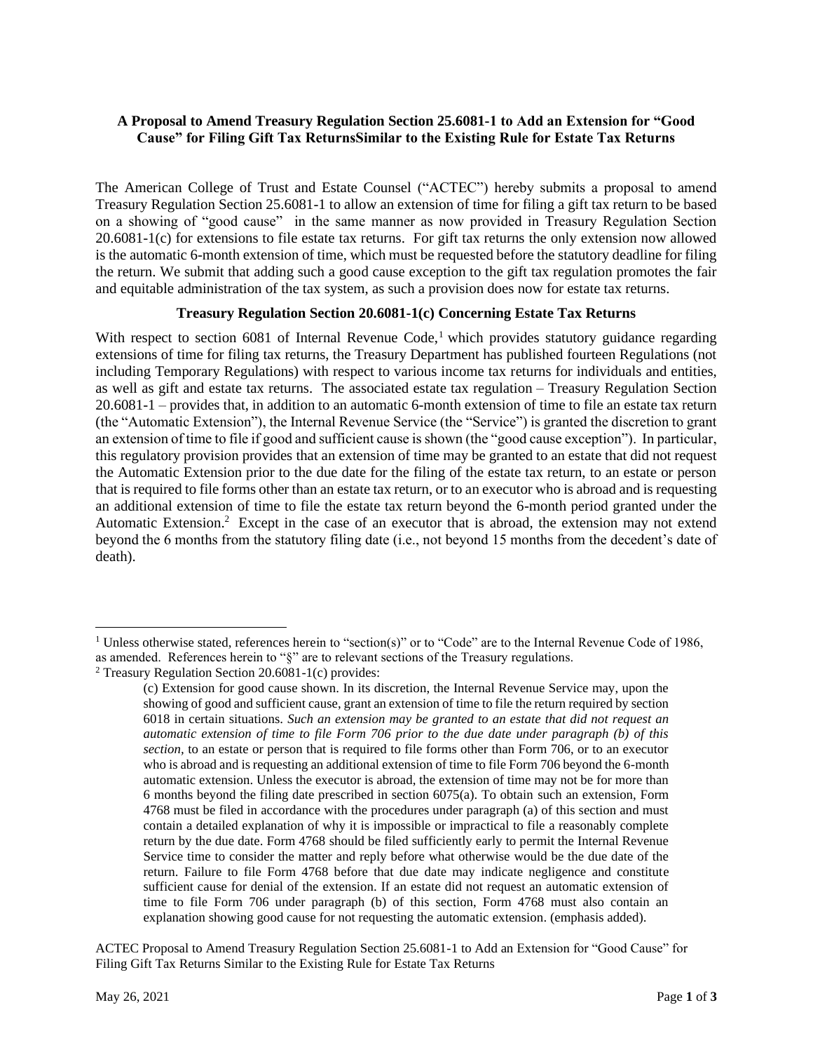# **A Proposal to Amend Treasury Regulation Section 25.6081-1 to Add an Extension for "Good Cause" for Filing Gift Tax ReturnsSimilar to the Existing Rule for Estate Tax Returns**

The American College of Trust and Estate Counsel ("ACTEC") hereby submits a proposal to amend Treasury Regulation Section 25.6081-1 to allow an extension of time for filing a gift tax return to be based on a showing of "good cause" in the same manner as now provided in Treasury Regulation Section 20.6081-1(c) for extensions to file estate tax returns. For gift tax returns the only extension now allowed is the automatic 6-month extension of time, which must be requested before the statutory deadline for filing the return. We submit that adding such a good cause exception to the gift tax regulation promotes the fair and equitable administration of the tax system, as such a provision does now for estate tax returns.

### **Treasury Regulation Section 20.6081-1(c) Concerning Estate Tax Returns**

With respect to section  $6081$  of Internal Revenue Code,<sup>1</sup> which provides statutory guidance regarding extensions of time for filing tax returns, the Treasury Department has published fourteen Regulations (not including Temporary Regulations) with respect to various income tax returns for individuals and entities, as well as gift and estate tax returns. The associated estate tax regulation – Treasury Regulation Section 20.6081-1 – provides that, in addition to an automatic 6-month extension of time to file an estate tax return (the "Automatic Extension"), the Internal Revenue Service (the "Service") is granted the discretion to grant an extension of time to file if good and sufficient cause is shown (the "good cause exception"). In particular, this regulatory provision provides that an extension of time may be granted to an estate that did not request the Automatic Extension prior to the due date for the filing of the estate tax return, to an estate or person that is required to file forms other than an estate tax return, or to an executor who is abroad and is requesting an additional extension of time to file the estate tax return beyond the 6-month period granted under the Automatic Extension.<sup>2</sup> Except in the case of an executor that is abroad, the extension may not extend beyond the 6 months from the statutory filing date (i.e., not beyond 15 months from the decedent's date of death).

<sup>&</sup>lt;sup>1</sup> Unless otherwise stated, references herein to "section(s)" or to "Code" are to the Internal Revenue Code of 1986, as amended. References herein to "§" are to relevant sections of the Treasury regulations.

<sup>2</sup> Treasury Regulation Section 20.6081-1(c) provides:

<sup>(</sup>c) Extension for good cause shown. In its discretion, the Internal Revenue Service may, upon the showing of good and sufficient cause, grant an extension of time to file the return required by section 6018 in certain situations. *Such an extension may be granted to an estate that did not request an automatic extension of time to file Form 706 prior to the due date under paragraph (b) of this section,* to an estate or person that is required to file forms other than Form 706, or to an executor who is abroad and is requesting an additional extension of time to file Form 706 beyond the 6-month automatic extension. Unless the executor is abroad, the extension of time may not be for more than 6 months beyond the filing date prescribed in section 6075(a). To obtain such an extension, Form 4768 must be filed in accordance with the procedures under paragraph (a) of this section and must contain a detailed explanation of why it is impossible or impractical to file a reasonably complete return by the due date. Form 4768 should be filed sufficiently early to permit the Internal Revenue Service time to consider the matter and reply before what otherwise would be the due date of the return. Failure to file Form 4768 before that due date may indicate negligence and constitute sufficient cause for denial of the extension. If an estate did not request an automatic extension of time to file Form 706 under paragraph (b) of this section, Form 4768 must also contain an explanation showing good cause for not requesting the automatic extension. (emphasis added).

ACTEC Proposal to Amend Treasury Regulation Section 25.6081-1 to Add an Extension for "Good Cause" for Filing Gift Tax Returns Similar to the Existing Rule for Estate Tax Returns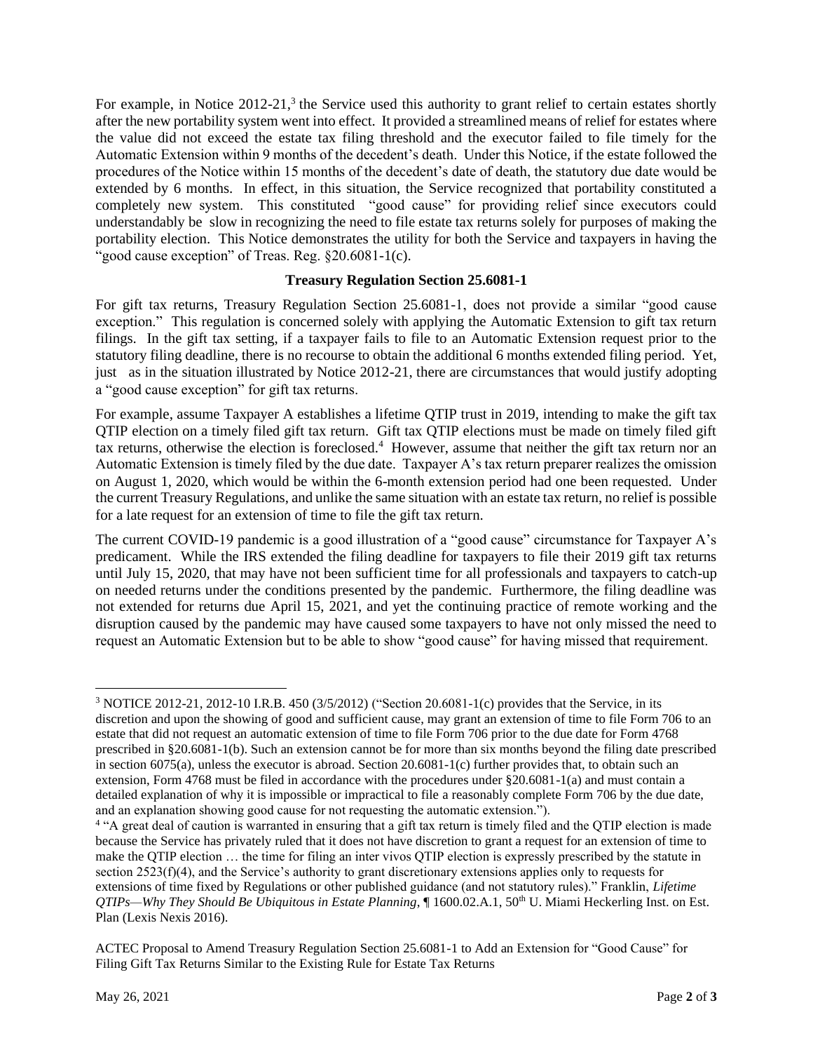For example, in Notice 2012-21,<sup>3</sup> the Service used this authority to grant relief to certain estates shortly after the new portability system went into effect. It provided a streamlined means of relief for estates where the value did not exceed the estate tax filing threshold and the executor failed to file timely for the Automatic Extension within 9 months of the decedent's death. Under this Notice, if the estate followed the procedures of the Notice within 15 months of the decedent's date of death, the statutory due date would be extended by 6 months. In effect, in this situation, the Service recognized that portability constituted a completely new system. This constituted "good cause" for providing relief since executors could understandably be slow in recognizing the need to file estate tax returns solely for purposes of making the portability election. This Notice demonstrates the utility for both the Service and taxpayers in having the "good cause exception" of Treas. Reg. §20.6081-1(c).

#### **Treasury Regulation Section 25.6081-1**

For gift tax returns, Treasury Regulation Section 25.6081-1, does not provide a similar "good cause exception." This regulation is concerned solely with applying the Automatic Extension to gift tax return filings. In the gift tax setting, if a taxpayer fails to file to an Automatic Extension request prior to the statutory filing deadline, there is no recourse to obtain the additional 6 months extended filing period. Yet, just as in the situation illustrated by Notice 2012-21, there are circumstances that would justify adopting a "good cause exception" for gift tax returns.

For example, assume Taxpayer A establishes a lifetime QTIP trust in 2019, intending to make the gift tax QTIP election on a timely filed gift tax return. Gift tax QTIP elections must be made on timely filed gift tax returns, otherwise the election is foreclosed.<sup>4</sup> However, assume that neither the gift tax return nor an Automatic Extension is timely filed by the due date. Taxpayer A's tax return preparer realizes the omission on August 1, 2020, which would be within the 6-month extension period had one been requested. Under the current Treasury Regulations, and unlike the same situation with an estate tax return, no relief is possible for a late request for an extension of time to file the gift tax return.

The current COVID-19 pandemic is a good illustration of a "good cause" circumstance for Taxpayer A's predicament. While the IRS extended the filing deadline for taxpayers to file their 2019 gift tax returns until July 15, 2020, that may have not been sufficient time for all professionals and taxpayers to catch-up on needed returns under the conditions presented by the pandemic. Furthermore, the filing deadline was not extended for returns due April 15, 2021, and yet the continuing practice of remote working and the disruption caused by the pandemic may have caused some taxpayers to have not only missed the need to request an Automatic Extension but to be able to show "good cause" for having missed that requirement.

<sup>&</sup>lt;sup>3</sup> NOTICE 2012-21, 2012-10 I.R.B. 450 (3/5/2012) ("Section 20.6081-1(c) provides that the Service, in its discretion and upon the showing of good and sufficient cause, may grant an extension of time to file Form 706 to an estate that did not request an automatic extension of time to file Form 706 prior to the due date for Form 4768 prescribed in §20.6081-1(b). Such an extension cannot be for more than six months beyond the filing date prescribed in section 6075(a), unless the executor is abroad. Section 20.6081-1(c) further provides that, to obtain such an extension, Form 4768 must be filed in accordance with the procedures under  $\S 20.6081 - 1$ (a) and must contain a detailed explanation of why it is impossible or impractical to file a reasonably complete Form 706 by the due date, and an explanation showing good cause for not requesting the automatic extension.").

<sup>&</sup>lt;sup>4</sup> "A great deal of caution is warranted in ensuring that a gift tax return is timely filed and the QTIP election is made because the Service has privately ruled that it does not have discretion to grant a request for an extension of time to make the QTIP election … the time for filing an inter vivos QTIP election is expressly prescribed by the statute in section 2523(f)(4), and the Service's authority to grant discretionary extensions applies only to requests for extensions of time fixed by Regulations or other published guidance (and not statutory rules)." Franklin, *Lifetime QTIPs—Why They Should Be Ubiquitous in Estate Planning*, ¶ 1600.02.A.1, 50th U. Miami Heckerling Inst. on Est. Plan (Lexis Nexis 2016).

ACTEC Proposal to Amend Treasury Regulation Section 25.6081-1 to Add an Extension for "Good Cause" for Filing Gift Tax Returns Similar to the Existing Rule for Estate Tax Returns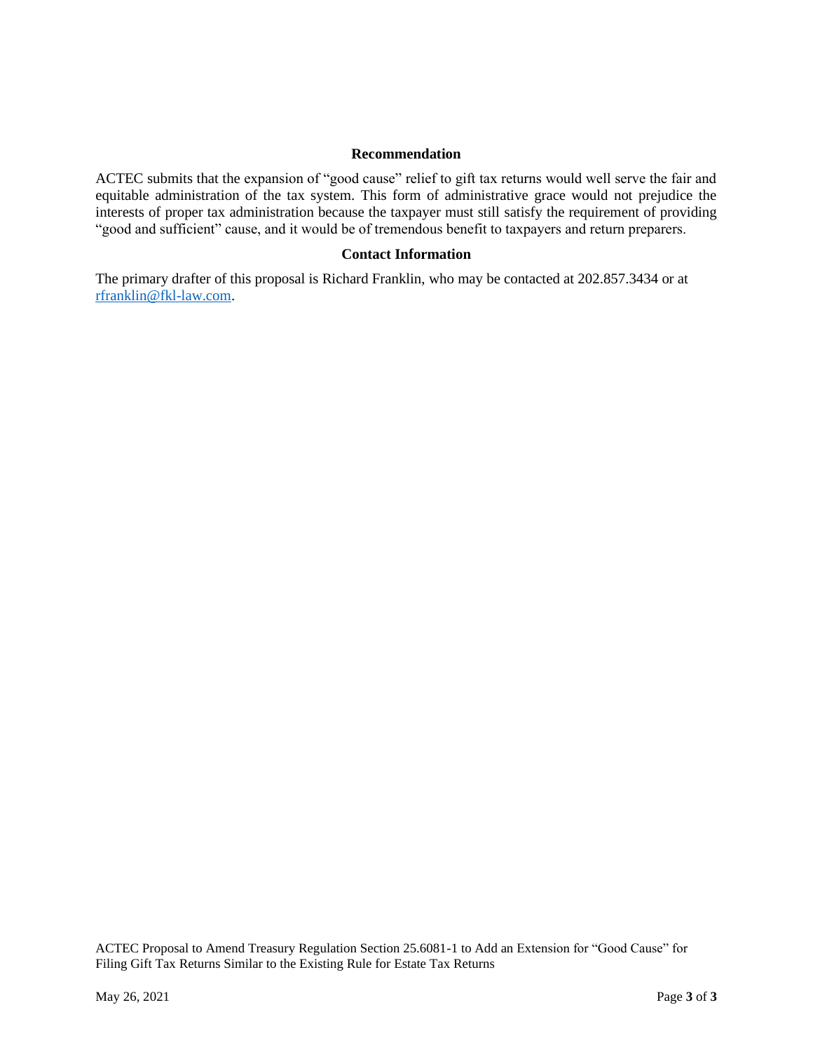#### **Recommendation**

ACTEC submits that the expansion of "good cause" relief to gift tax returns would well serve the fair and equitable administration of the tax system. This form of administrative grace would not prejudice the interests of proper tax administration because the taxpayer must still satisfy the requirement of providing "good and sufficient" cause, and it would be of tremendous benefit to taxpayers and return preparers.

### **Contact Information**

The primary drafter of this proposal is Richard Franklin, who may be contacted at 202.857.3434 or at [rfranklin@fkl-law.com.](mailto:rfranklin@fkl-law.com)

ACTEC Proposal to Amend Treasury Regulation Section 25.6081-1 to Add an Extension for "Good Cause" for Filing Gift Tax Returns Similar to the Existing Rule for Estate Tax Returns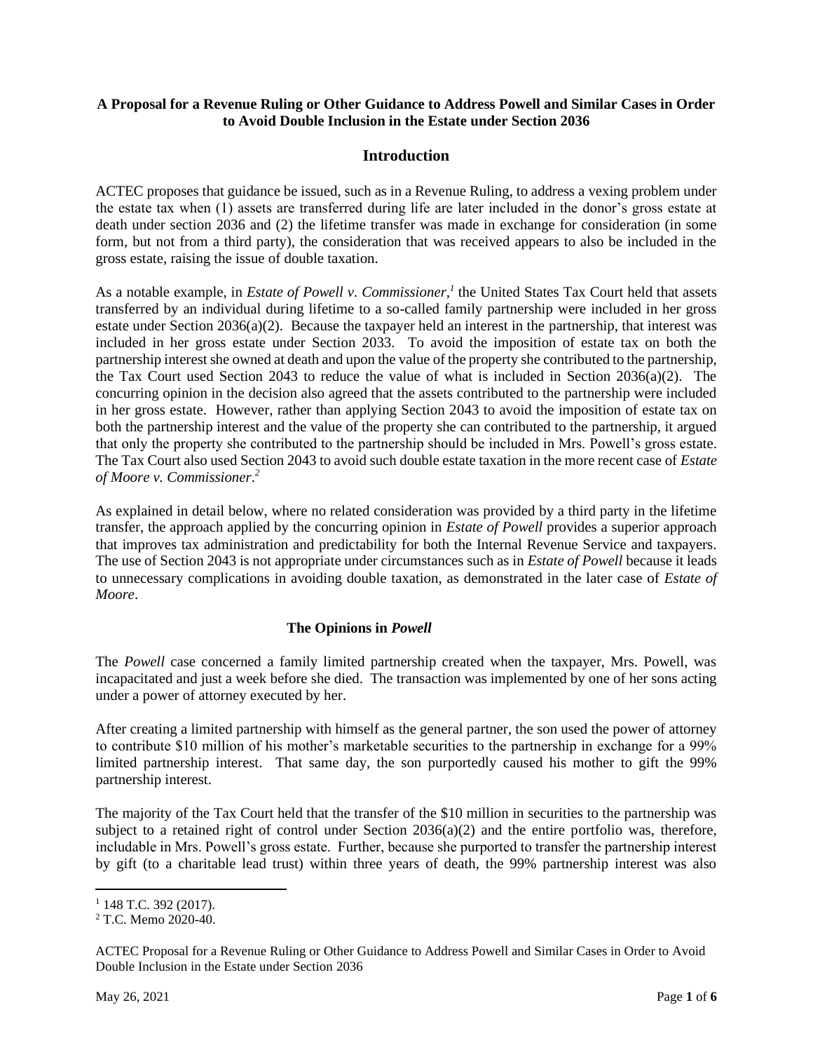### **A Proposal for a Revenue Ruling or Other Guidance to Address Powell and Similar Cases in Order to Avoid Double Inclusion in the Estate under Section 2036**

## **Introduction**

ACTEC proposes that guidance be issued, such as in a Revenue Ruling, to address a vexing problem under the estate tax when (1) assets are transferred during life are later included in the donor's gross estate at death under section 2036 and (2) the lifetime transfer was made in exchange for consideration (in some form, but not from a third party), the consideration that was received appears to also be included in the gross estate, raising the issue of double taxation.

As a notable example, in *Estate of Powell v. Commissioner,<sup>1</sup>* the United States Tax Court held that assets transferred by an individual during lifetime to a so-called family partnership were included in her gross estate under Section 2036(a)(2). Because the taxpayer held an interest in the partnership, that interest was included in her gross estate under Section 2033. To avoid the imposition of estate tax on both the partnership interest she owned at death and upon the value of the property she contributed to the partnership, the Tax Court used Section 2043 to reduce the value of what is included in Section 2036(a)(2). The concurring opinion in the decision also agreed that the assets contributed to the partnership were included in her gross estate. However, rather than applying Section 2043 to avoid the imposition of estate tax on both the partnership interest and the value of the property she can contributed to the partnership, it argued that only the property she contributed to the partnership should be included in Mrs. Powell's gross estate. The Tax Court also used Section 2043 to avoid such double estate taxation in the more recent case of *Estate of Moore v. Commissioner*. *2*

As explained in detail below, where no related consideration was provided by a third party in the lifetime transfer, the approach applied by the concurring opinion in *Estate of Powell* provides a superior approach that improves tax administration and predictability for both the Internal Revenue Service and taxpayers. The use of Section 2043 is not appropriate under circumstances such as in *Estate of Powell* because it leads to unnecessary complications in avoiding double taxation, as demonstrated in the later case of *Estate of Moore*.

# **The Opinions in** *Powell*

The *Powell* case concerned a family limited partnership created when the taxpayer, Mrs. Powell, was incapacitated and just a week before she died. The transaction was implemented by one of her sons acting under a power of attorney executed by her.

After creating a limited partnership with himself as the general partner, the son used the power of attorney to contribute \$10 million of his mother's marketable securities to the partnership in exchange for a 99% limited partnership interest. That same day, the son purportedly caused his mother to gift the 99% partnership interest.

The majority of the Tax Court held that the transfer of the \$10 million in securities to the partnership was subject to a retained right of control under Section  $2036(a)(2)$  and the entire portfolio was, therefore, includable in Mrs. Powell's gross estate. Further, because she purported to transfer the partnership interest by gift (to a charitable lead trust) within three years of death, the 99% partnership interest was also

 $1$  148 T.C. 392 (2017).

<sup>2</sup> T.C. Memo 2020-40.

ACTEC Proposal for a Revenue Ruling or Other Guidance to Address Powell and Similar Cases in Order to Avoid Double Inclusion in the Estate under Section 2036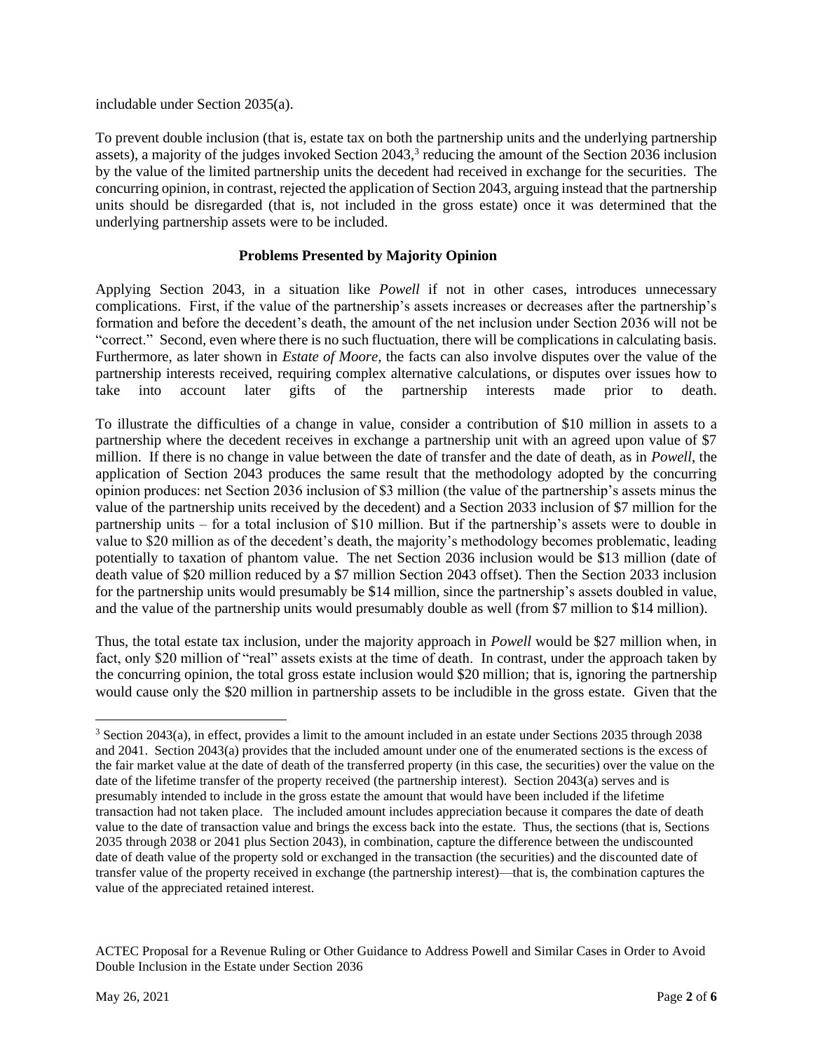includable under Section 2035(a).

To prevent double inclusion (that is, estate tax on both the partnership units and the underlying partnership assets), a majority of the judges invoked Section 2043,<sup>3</sup> reducing the amount of the Section 2036 inclusion by the value of the limited partnership units the decedent had received in exchange for the securities. The concurring opinion, in contrast, rejected the application of Section 2043, arguing instead that the partnership units should be disregarded (that is, not included in the gross estate) once it was determined that the underlying partnership assets were to be included.

## **Problems Presented by Majority Opinion**

Applying Section 2043, in a situation like *Powell* if not in other cases, introduces unnecessary complications. First, if the value of the partnership's assets increases or decreases after the partnership's formation and before the decedent's death, the amount of the net inclusion under Section 2036 will not be "correct." Second, even where there is no such fluctuation, there will be complications in calculating basis. Furthermore, as later shown in *Estate of Moore,* the facts can also involve disputes over the value of the partnership interests received, requiring complex alternative calculations, or disputes over issues how to take into account later gifts of the partnership interests made prior to death.

To illustrate the difficulties of a change in value, consider a contribution of \$10 million in assets to a partnership where the decedent receives in exchange a partnership unit with an agreed upon value of \$7 million. If there is no change in value between the date of transfer and the date of death, as in *Powell*, the application of Section 2043 produces the same result that the methodology adopted by the concurring opinion produces: net Section 2036 inclusion of \$3 million (the value of the partnership's assets minus the value of the partnership units received by the decedent) and a Section 2033 inclusion of \$7 million for the partnership units – for a total inclusion of \$10 million. But if the partnership's assets were to double in value to \$20 million as of the decedent's death, the majority's methodology becomes problematic, leading potentially to taxation of phantom value. The net Section 2036 inclusion would be \$13 million (date of death value of \$20 million reduced by a \$7 million Section 2043 offset). Then the Section 2033 inclusion for the partnership units would presumably be \$14 million, since the partnership's assets doubled in value, and the value of the partnership units would presumably double as well (from \$7 million to \$14 million).

Thus, the total estate tax inclusion, under the majority approach in *Powell* would be \$27 million when, in fact, only \$20 million of "real" assets exists at the time of death. In contrast, under the approach taken by the concurring opinion, the total gross estate inclusion would \$20 million; that is, ignoring the partnership would cause only the \$20 million in partnership assets to be includible in the gross estate. Given that the

<sup>3</sup> Section 2043(a), in effect, provides a limit to the amount included in an estate under Sections 2035 through 2038 and 2041. Section 2043(a) provides that the included amount under one of the enumerated sections is the excess of the fair market value at the date of death of the transferred property (in this case, the securities) over the value on the date of the lifetime transfer of the property received (the partnership interest). Section 2043(a) serves and is presumably intended to include in the gross estate the amount that would have been included if the lifetime transaction had not taken place. The included amount includes appreciation because it compares the date of death value to the date of transaction value and brings the excess back into the estate. Thus, the sections (that is, Sections 2035 through 2038 or 2041 plus Section 2043), in combination, capture the difference between the undiscounted date of death value of the property sold or exchanged in the transaction (the securities) and the discounted date of transfer value of the property received in exchange (the partnership interest)—that is, the combination captures the value of the appreciated retained interest.

ACTEC Proposal for a Revenue Ruling or Other Guidance to Address Powell and Similar Cases in Order to Avoid Double Inclusion in the Estate under Section 2036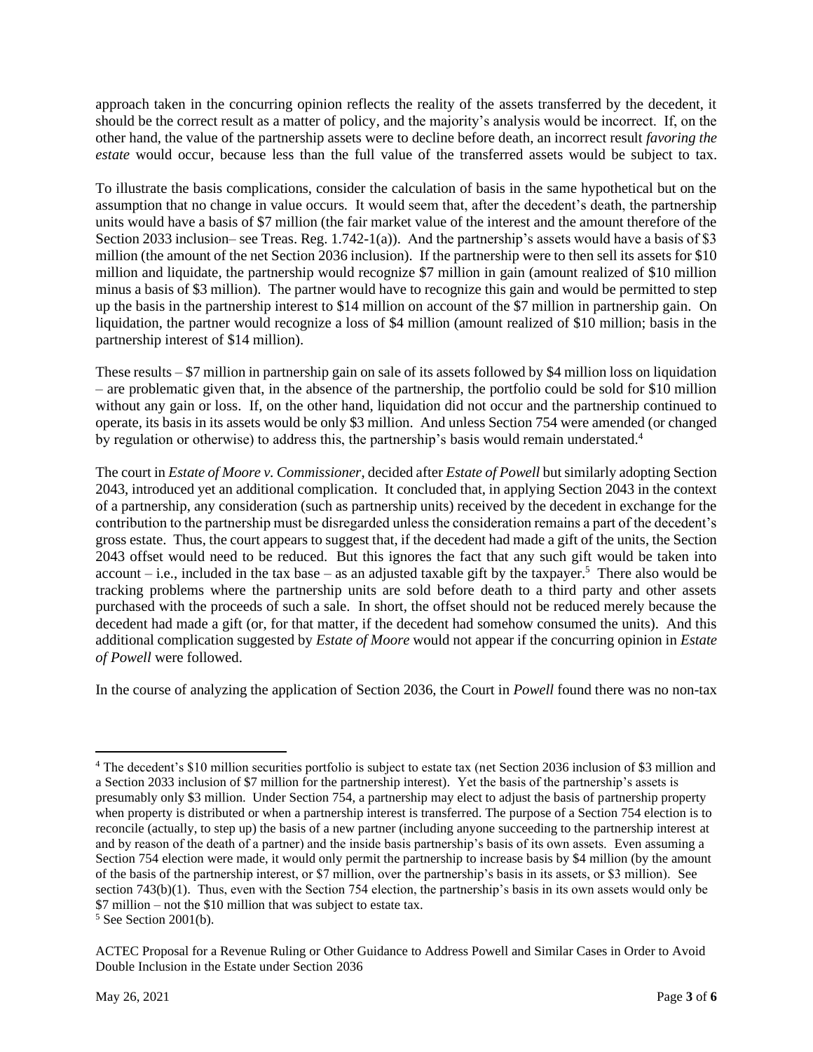approach taken in the concurring opinion reflects the reality of the assets transferred by the decedent, it should be the correct result as a matter of policy, and the majority's analysis would be incorrect. If, on the other hand, the value of the partnership assets were to decline before death, an incorrect result *favoring the estate* would occur, because less than the full value of the transferred assets would be subject to tax.

To illustrate the basis complications, consider the calculation of basis in the same hypothetical but on the assumption that no change in value occurs. It would seem that, after the decedent's death, the partnership units would have a basis of \$7 million (the fair market value of the interest and the amount therefore of the Section 2033 inclusion– see Treas. Reg.  $1.742-1(a)$ ). And the partnership's assets would have a basis of \$3 million (the amount of the net Section 2036 inclusion). If the partnership were to then sell its assets for \$10 million and liquidate, the partnership would recognize \$7 million in gain (amount realized of \$10 million minus a basis of \$3 million). The partner would have to recognize this gain and would be permitted to step up the basis in the partnership interest to \$14 million on account of the \$7 million in partnership gain. On liquidation, the partner would recognize a loss of \$4 million (amount realized of \$10 million; basis in the partnership interest of \$14 million).

These results – \$7 million in partnership gain on sale of its assets followed by \$4 million loss on liquidation – are problematic given that, in the absence of the partnership, the portfolio could be sold for \$10 million without any gain or loss. If, on the other hand, liquidation did not occur and the partnership continued to operate, its basis in its assets would be only \$3 million. And unless Section 754 were amended (or changed by regulation or otherwise) to address this, the partnership's basis would remain understated.<sup>4</sup>

The court in *Estate of Moore v. Commissioner*, decided after *Estate of Powell* but similarly adopting Section 2043, introduced yet an additional complication. It concluded that, in applying Section 2043 in the context of a partnership, any consideration (such as partnership units) received by the decedent in exchange for the contribution to the partnership must be disregarded unless the consideration remains a part of the decedent's gross estate. Thus, the court appears to suggest that, if the decedent had made a gift of the units, the Section 2043 offset would need to be reduced. But this ignores the fact that any such gift would be taken into account – i.e., included in the tax base – as an adjusted taxable gift by the taxpayer.<sup>5</sup> There also would be tracking problems where the partnership units are sold before death to a third party and other assets purchased with the proceeds of such a sale. In short, the offset should not be reduced merely because the decedent had made a gift (or, for that matter, if the decedent had somehow consumed the units). And this additional complication suggested by *Estate of Moore* would not appear if the concurring opinion in *Estate of Powell* were followed.

In the course of analyzing the application of Section 2036, the Court in *Powell* found there was no non-tax

<sup>&</sup>lt;sup>4</sup> The decedent's \$10 million securities portfolio is subject to estate tax (net Section 2036 inclusion of \$3 million and a Section 2033 inclusion of \$7 million for the partnership interest). Yet the basis of the partnership's assets is presumably only \$3 million. Under Section 754, a partnership may elect to adjust the basis of partnership property when property is distributed or when a partnership interest is transferred. The purpose of a Section 754 election is to reconcile (actually, to step up) the basis of a new partner (including anyone succeeding to the partnership interest at and by reason of the death of a partner) and the inside basis partnership's basis of its own assets. Even assuming a Section 754 election were made, it would only permit the partnership to increase basis by \$4 million (by the amount of the basis of the partnership interest, or \$7 million, over the partnership's basis in its assets, or \$3 million). See section 743(b)(1). Thus, even with the Section 754 election, the partnership's basis in its own assets would only be \$7 million – not the \$10 million that was subject to estate tax.

 $5$  See Section 2001(b).

ACTEC Proposal for a Revenue Ruling or Other Guidance to Address Powell and Similar Cases in Order to Avoid Double Inclusion in the Estate under Section 2036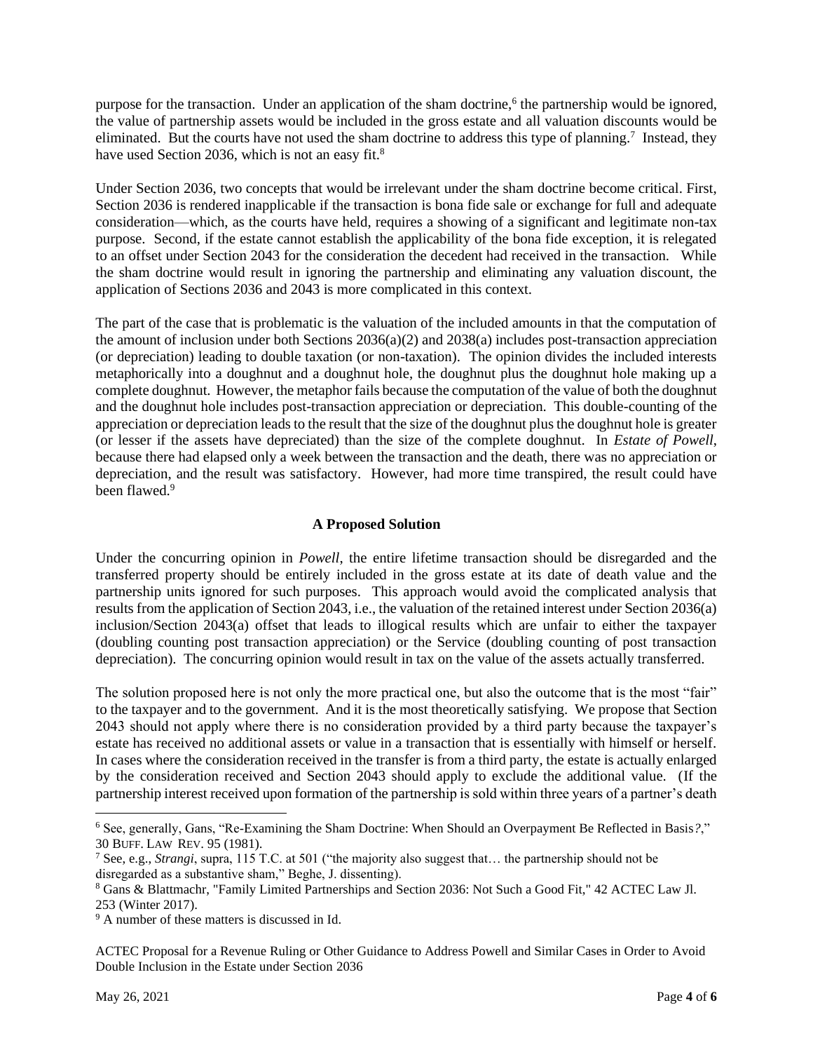purpose for the transaction. Under an application of the sham doctrine,<sup>6</sup> the partnership would be ignored, the value of partnership assets would be included in the gross estate and all valuation discounts would be eliminated. But the courts have not used the sham doctrine to address this type of planning.<sup>7</sup> Instead, they have used Section 2036, which is not an easy fit.<sup>8</sup>

Under Section 2036, two concepts that would be irrelevant under the sham doctrine become critical. First, Section 2036 is rendered inapplicable if the transaction is bona fide sale or exchange for full and adequate consideration—which, as the courts have held, requires a showing of a significant and legitimate non-tax purpose. Second, if the estate cannot establish the applicability of the bona fide exception, it is relegated to an offset under Section 2043 for the consideration the decedent had received in the transaction. While the sham doctrine would result in ignoring the partnership and eliminating any valuation discount, the application of Sections 2036 and 2043 is more complicated in this context.

The part of the case that is problematic is the valuation of the included amounts in that the computation of the amount of inclusion under both Sections  $2036(a)(2)$  and  $2038(a)$  includes post-transaction appreciation (or depreciation) leading to double taxation (or non-taxation). The opinion divides the included interests metaphorically into a doughnut and a doughnut hole, the doughnut plus the doughnut hole making up a complete doughnut. However, the metaphor fails because the computation of the value of both the doughnut and the doughnut hole includes post-transaction appreciation or depreciation. This double-counting of the appreciation or depreciation leads to the result that the size of the doughnut plus the doughnut hole is greater (or lesser if the assets have depreciated) than the size of the complete doughnut. In *Estate of Powell*, because there had elapsed only a week between the transaction and the death, there was no appreciation or depreciation, and the result was satisfactory. However, had more time transpired, the result could have been flawed.<sup>9</sup>

## **A Proposed Solution**

Under the concurring opinion in *Powell*, the entire lifetime transaction should be disregarded and the transferred property should be entirely included in the gross estate at its date of death value and the partnership units ignored for such purposes. This approach would avoid the complicated analysis that results from the application of Section 2043, i.e., the valuation of the retained interest under Section 2036(a) inclusion/Section 2043(a) offset that leads to illogical results which are unfair to either the taxpayer (doubling counting post transaction appreciation) or the Service (doubling counting of post transaction depreciation). The concurring opinion would result in tax on the value of the assets actually transferred.

The solution proposed here is not only the more practical one, but also the outcome that is the most "fair" to the taxpayer and to the government. And it is the most theoretically satisfying. We propose that Section 2043 should not apply where there is no consideration provided by a third party because the taxpayer's estate has received no additional assets or value in a transaction that is essentially with himself or herself. In cases where the consideration received in the transfer is from a third party, the estate is actually enlarged by the consideration received and Section 2043 should apply to exclude the additional value. (If the partnership interest received upon formation of the partnership is sold within three years of a partner's death

<sup>6</sup> See, generally, Gans, "Re-Examining the Sham Doctrine: When Should an Overpayment Be Reflected in Basis*?*," 30 BUFF. LAW REV. 95 (1981).

<sup>7</sup> See, e.g., *Strangi*, supra, 115 T.C. at 501 ("the majority also suggest that… the partnership should not be disregarded as a substantive sham," Beghe, J. dissenting).

<sup>8</sup> Gans & Blattmachr, "Family Limited Partnerships and Section 2036: Not Such a Good Fit," 42 ACTEC Law Jl. 253 (Winter 2017).

<sup>9</sup> A number of these matters is discussed in Id.

ACTEC Proposal for a Revenue Ruling or Other Guidance to Address Powell and Similar Cases in Order to Avoid Double Inclusion in the Estate under Section 2036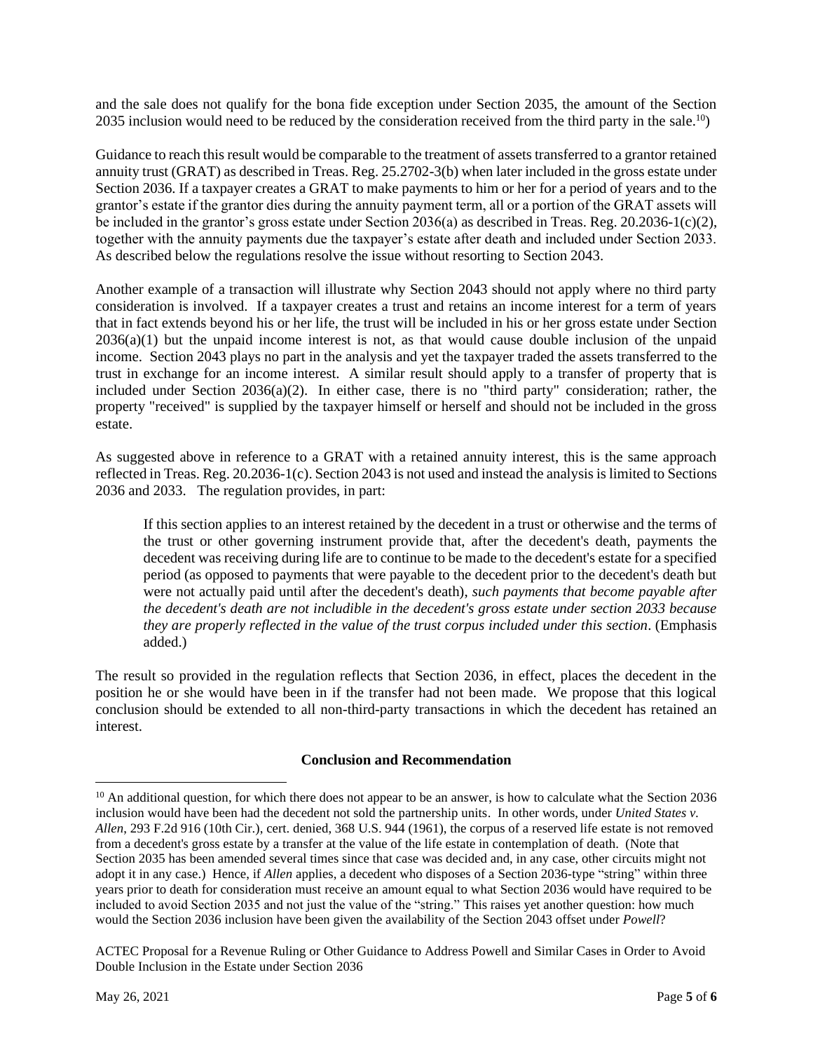and the sale does not qualify for the bona fide exception under Section 2035, the amount of the Section 2035 inclusion would need to be reduced by the consideration received from the third party in the sale.<sup>10</sup>)

Guidance to reach this result would be comparable to the treatment of assets transferred to a grantor retained annuity trust (GRAT) as described in Treas. Reg. 25.2702-3(b) when later included in the gross estate under Section 2036. If a taxpayer creates a GRAT to make payments to him or her for a period of years and to the grantor's estate if the grantor dies during the annuity payment term, all or a portion of the GRAT assets will be included in the grantor's gross estate under Section 2036(a) as described in Treas. Reg. 20.2036-1(c)(2), together with the annuity payments due the taxpayer's estate after death and included under Section 2033. As described below the regulations resolve the issue without resorting to Section 2043.

Another example of a transaction will illustrate why Section 2043 should not apply where no third party consideration is involved. If a taxpayer creates a trust and retains an income interest for a term of years that in fact extends beyond his or her life, the trust will be included in his or her gross estate under Section 2036(a)(1) but the unpaid income interest is not, as that would cause double inclusion of the unpaid income. Section 2043 plays no part in the analysis and yet the taxpayer traded the assets transferred to the trust in exchange for an income interest. A similar result should apply to a transfer of property that is included under Section 2036(a)(2). In either case, there is no "third party" consideration; rather, the property "received" is supplied by the taxpayer himself or herself and should not be included in the gross estate.

As suggested above in reference to a GRAT with a retained annuity interest, this is the same approach reflected in Treas. Reg. 20.2036-1(c). Section 2043 is not used and instead the analysis is limited to Sections 2036 and 2033. The regulation provides, in part:

If this section applies to an interest retained by the decedent in a trust or otherwise and the terms of the trust or other governing instrument provide that, after the decedent's death, payments the decedent was receiving during life are to continue to be made to the decedent's estate for a specified period (as opposed to payments that were payable to the decedent prior to the decedent's death but were not actually paid until after the decedent's death), *such payments that become payable after the decedent's death are not includible in the decedent's gross estate under section 2033 because they are properly reflected in the value of the trust corpus included under this section*. (Emphasis added.)

The result so provided in the regulation reflects that Section 2036, in effect, places the decedent in the position he or she would have been in if the transfer had not been made. We propose that this logical conclusion should be extended to all non-third-party transactions in which the decedent has retained an interest.

### **Conclusion and Recommendation**

 $10$  An additional question, for which there does not appear to be an answer, is how to calculate what the Section 2036 inclusion would have been had the decedent not sold the partnership units. In other words, under *United States v. Allen*, 293 F.2d 916 (10th Cir.), cert. denied, 368 U.S. 944 (1961), the corpus of a reserved life estate is not removed from a decedent's gross estate by a transfer at the value of the life estate in contemplation of death. (Note that Section 2035 has been amended several times since that case was decided and, in any case, other circuits might not adopt it in any case.) Hence, if *Allen* applies, a decedent who disposes of a Section 2036-type "string" within three years prior to death for consideration must receive an amount equal to what Section 2036 would have required to be included to avoid Section 2035 and not just the value of the "string." This raises yet another question: how much would the Section 2036 inclusion have been given the availability of the Section 2043 offset under *Powell*?

ACTEC Proposal for a Revenue Ruling or Other Guidance to Address Powell and Similar Cases in Order to Avoid Double Inclusion in the Estate under Section 2036